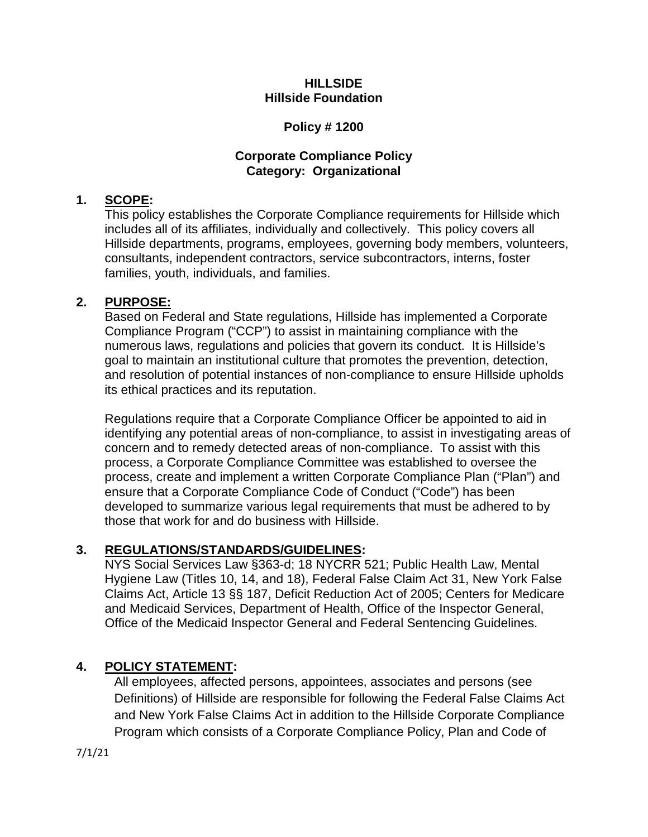#### **HILLSIDE Hillside Foundation**

## **Policy # 1200**

## **Corporate Compliance Policy Category: Organizational**

## **1. SCOPE:**

This policy establishes the Corporate Compliance requirements for Hillside which includes all of its affiliates, individually and collectively. This policy covers all Hillside departments, programs, employees, governing body members, volunteers, consultants, independent contractors, service subcontractors, interns, foster families, youth, individuals, and families.

## **2. PURPOSE:**

Based on Federal and State regulations, Hillside has implemented a Corporate Compliance Program ("CCP") to assist in maintaining compliance with the numerous laws, regulations and policies that govern its conduct. It is Hillside's goal to maintain an institutional culture that promotes the prevention, detection, and resolution of potential instances of non-compliance to ensure Hillside upholds its ethical practices and its reputation.

Regulations require that a Corporate Compliance Officer be appointed to aid in identifying any potential areas of non-compliance, to assist in investigating areas of concern and to remedy detected areas of non-compliance. To assist with this process, a Corporate Compliance Committee was established to oversee the process, create and implement a written Corporate Compliance Plan ("Plan") and ensure that a Corporate Compliance Code of Conduct ("Code") has been developed to summarize various legal requirements that must be adhered to by those that work for and do business with Hillside.

## **3. REGULATIONS/STANDARDS/GUIDELINES:**

NYS Social Services Law §363-d; 18 NYCRR 521; Public Health Law, Mental Hygiene Law (Titles 10, 14, and 18), Federal False Claim Act 31, New York False Claims Act, Article 13 §§ 187, Deficit Reduction Act of 2005; Centers for Medicare and Medicaid Services, Department of Health, Office of the Inspector General, Office of the Medicaid Inspector General and Federal Sentencing Guidelines.

## **4. POLICY STATEMENT:**

All employees, affected persons, appointees, associates and persons (see Definitions) of Hillside are responsible for following the Federal False Claims Act and New York False Claims Act in addition to the Hillside Corporate Compliance Program which consists of a Corporate Compliance Policy, Plan and Code of

7/1/21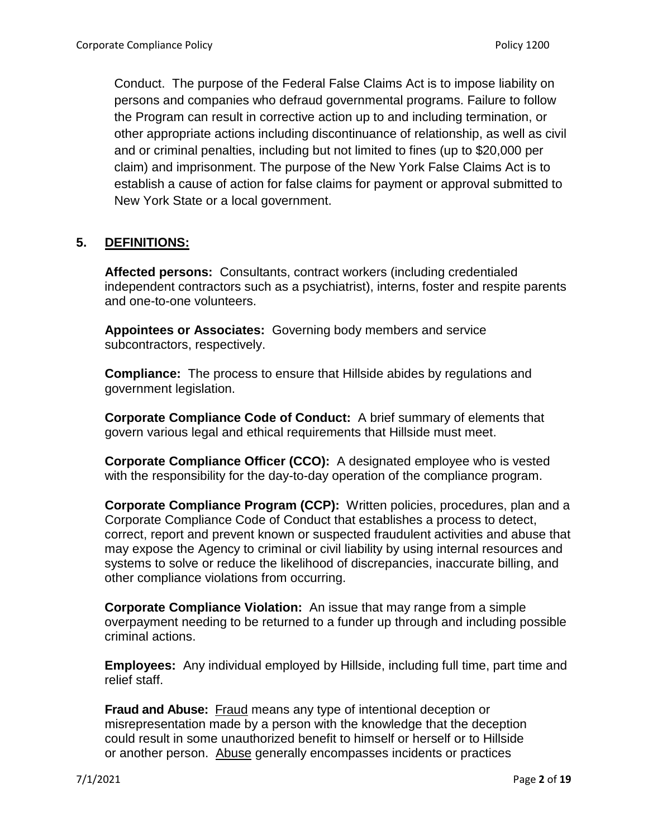Conduct. The purpose of the Federal False Claims Act is to impose liability on persons and companies who defraud governmental programs. Failure to follow the Program can result in corrective action up to and including termination, or other appropriate actions including discontinuance of relationship, as well as civil and or criminal penalties, including but not limited to fines (up to \$20,000 per claim) and imprisonment. The purpose of the New York False Claims Act is to establish a cause of action for false claims for payment or approval submitted to New York State or a local government.

## **5. DEFINITIONS:**

**Affected persons:** Consultants, contract workers (including credentialed independent contractors such as a psychiatrist), interns, foster and respite parents and one-to-one volunteers.

**Appointees or Associates:** Governing body members and service subcontractors, respectively.

**Compliance:** The process to ensure that Hillside abides by regulations and government legislation.

**Corporate Compliance Code of Conduct:** A brief summary of elements that govern various legal and ethical requirements that Hillside must meet.

**Corporate Compliance Officer (CCO):** A designated employee who is vested with the responsibility for the day-to-day operation of the compliance program.

**Corporate Compliance Program (CCP):** Written policies, procedures, plan and a Corporate Compliance Code of Conduct that establishes a process to detect, correct, report and prevent known or suspected fraudulent activities and abuse that may expose the Agency to criminal or civil liability by using internal resources and systems to solve or reduce the likelihood of discrepancies, inaccurate billing, and other compliance violations from occurring.

**Corporate Compliance Violation:** An issue that may range from a simple overpayment needing to be returned to a funder up through and including possible criminal actions.

**Employees:** Any individual employed by Hillside, including full time, part time and relief staff.

**Fraud and Abuse:** Fraud means any type of intentional deception or misrepresentation made by a person with the knowledge that the deception could result in some unauthorized benefit to himself or herself or to Hillside or another person. Abuse generally encompasses incidents or practices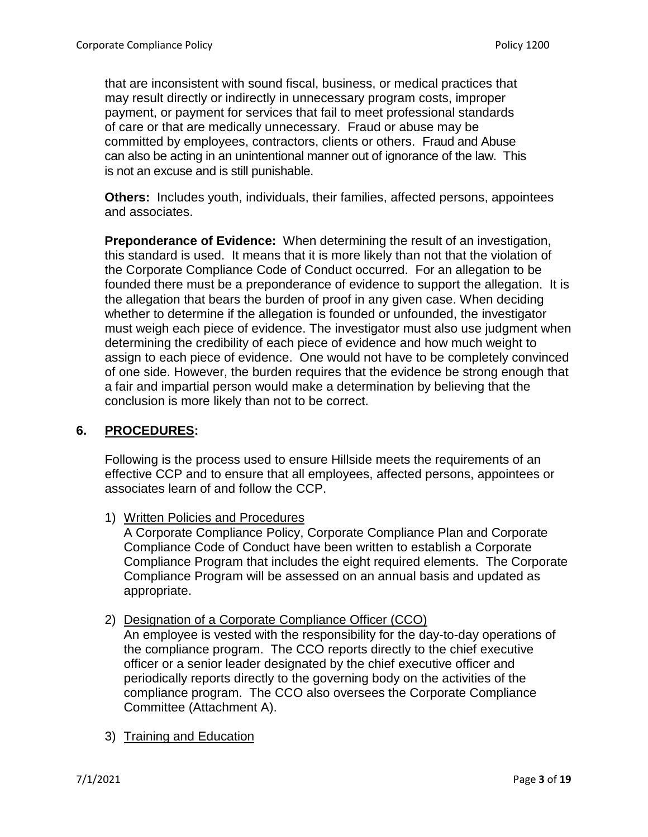that are inconsistent with sound fiscal, business, or medical practices that may result directly or indirectly in unnecessary program costs, improper payment, or payment for services that fail to meet professional standards of care or that are medically unnecessary. Fraud or abuse may be committed by employees, contractors, clients or others. Fraud and Abuse can also be acting in an unintentional manner out of ignorance of the law. This is not an excuse and is still punishable.

**Others:** Includes youth, individuals, their families, affected persons, appointees and associates.

**Preponderance of Evidence:** When determining the result of an investigation, this standard is used. It means that it is more likely than not that the violation of the Corporate Compliance Code of Conduct occurred. For an allegation to be founded there must be a preponderance of evidence to support the allegation. It is the allegation that bears the burden of proof in any given case. When deciding whether to determine if the allegation is founded or unfounded, the investigator must weigh each piece of evidence. The investigator must also use judgment when determining the credibility of each piece of evidence and how much weight to assign to each piece of evidence. One would not have to be completely convinced of one side. However, the burden requires that the evidence be strong enough that a fair and impartial person would make a determination by believing that the conclusion is more likely than not to be correct.

## **6. PROCEDURES:**

Following is the process used to ensure Hillside meets the requirements of an effective CCP and to ensure that all employees, affected persons, appointees or associates learn of and follow the CCP.

1) Written Policies and Procedures

A Corporate Compliance Policy, Corporate Compliance Plan and Corporate Compliance Code of Conduct have been written to establish a Corporate Compliance Program that includes the eight required elements. The Corporate Compliance Program will be assessed on an annual basis and updated as appropriate.

2) Designation of a Corporate Compliance Officer (CCO)

An employee is vested with the responsibility for the day-to-day operations of the compliance program. The CCO reports directly to the chief executive officer or a senior leader designated by the chief executive officer and periodically reports directly to the governing body on the activities of the compliance program. The CCO also oversees the Corporate Compliance Committee (Attachment A).

3) Training and Education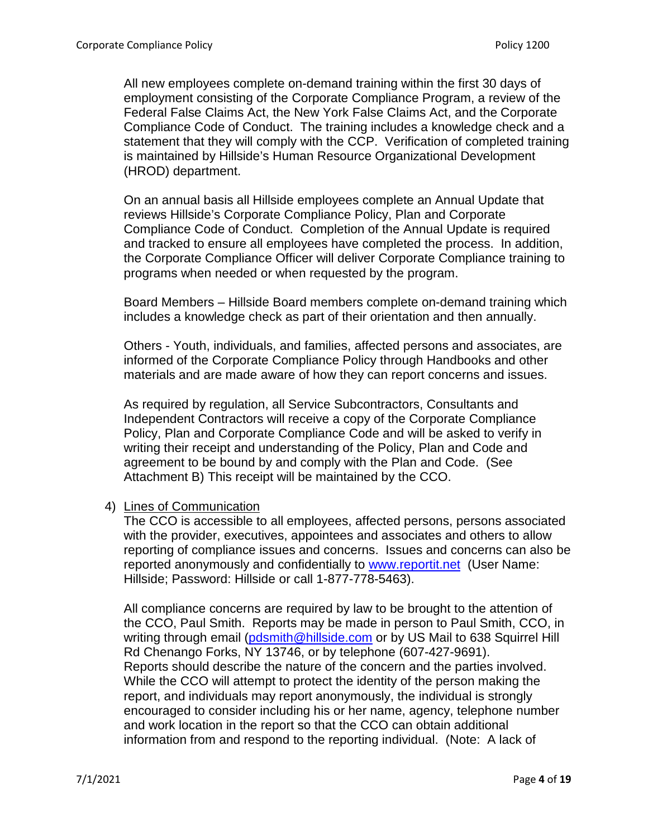All new employees complete on-demand training within the first 30 days of employment consisting of the Corporate Compliance Program, a review of the Federal False Claims Act, the New York False Claims Act, and the Corporate Compliance Code of Conduct. The training includes a knowledge check and a statement that they will comply with the CCP. Verification of completed training is maintained by Hillside's Human Resource Organizational Development (HROD) department.

On an annual basis all Hillside employees complete an Annual Update that reviews Hillside's Corporate Compliance Policy, Plan and Corporate Compliance Code of Conduct. Completion of the Annual Update is required and tracked to ensure all employees have completed the process. In addition, the Corporate Compliance Officer will deliver Corporate Compliance training to programs when needed or when requested by the program.

Board Members – Hillside Board members complete on-demand training which includes a knowledge check as part of their orientation and then annually.

Others - Youth, individuals, and families, affected persons and associates, are informed of the Corporate Compliance Policy through Handbooks and other materials and are made aware of how they can report concerns and issues.

As required by regulation, all Service Subcontractors, Consultants and Independent Contractors will receive a copy of the Corporate Compliance Policy, Plan and Corporate Compliance Code and will be asked to verify in writing their receipt and understanding of the Policy, Plan and Code and agreement to be bound by and comply with the Plan and Code. (See Attachment B) This receipt will be maintained by the CCO.

4) Lines of Communication

The CCO is accessible to all employees, affected persons, persons associated with the provider, executives, appointees and associates and others to allow reporting of compliance issues and concerns. Issues and concerns can also be reported anonymously and confidentially to [www.reportit.net](http://www.reportit.net/) (User Name: Hillside; Password: Hillside or call 1-877-778-5463).

All compliance concerns are required by law to be brought to the attention of the CCO, Paul Smith. Reports may be made in person to Paul Smith, CCO, in writing through email [\(pdsmith@hillside.com](mailto:pdsmith@hillside.com) or by US Mail to 638 Squirrel Hill Rd Chenango Forks, NY 13746, or by telephone (607-427-9691). Reports should describe the nature of the concern and the parties involved. While the CCO will attempt to protect the identity of the person making the report, and individuals may report anonymously, the individual is strongly encouraged to consider including his or her name, agency, telephone number and work location in the report so that the CCO can obtain additional information from and respond to the reporting individual. (Note: A lack of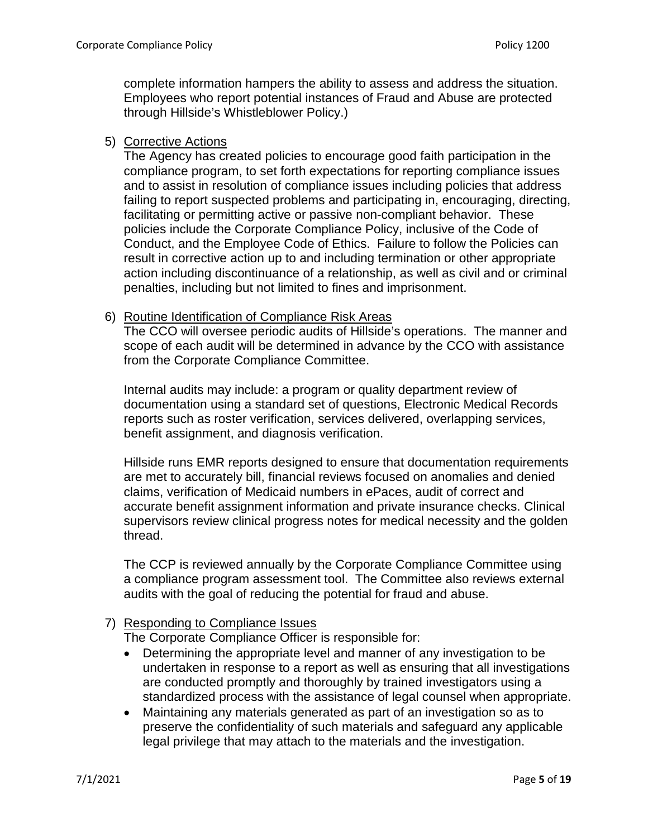complete information hampers the ability to assess and address the situation. Employees who report potential instances of Fraud and Abuse are protected through Hillside's Whistleblower Policy.)

5) Corrective Actions

The Agency has created policies to encourage good faith participation in the compliance program, to set forth expectations for reporting compliance issues and to assist in resolution of compliance issues including policies that address failing to report suspected problems and participating in, encouraging, directing, facilitating or permitting active or passive non-compliant behavior. These policies include the Corporate Compliance Policy, inclusive of the Code of Conduct, and the Employee Code of Ethics. Failure to follow the Policies can result in corrective action up to and including termination or other appropriate action including discontinuance of a relationship, as well as civil and or criminal penalties, including but not limited to fines and imprisonment.

#### 6) Routine Identification of Compliance Risk Areas

The CCO will oversee periodic audits of Hillside's operations. The manner and scope of each audit will be determined in advance by the CCO with assistance from the Corporate Compliance Committee.

Internal audits may include: a program or quality department review of documentation using a standard set of questions, Electronic Medical Records reports such as roster verification, services delivered, overlapping services, benefit assignment, and diagnosis verification.

Hillside runs EMR reports designed to ensure that documentation requirements are met to accurately bill, financial reviews focused on anomalies and denied claims, verification of Medicaid numbers in ePaces, audit of correct and accurate benefit assignment information and private insurance checks. Clinical supervisors review clinical progress notes for medical necessity and the golden thread.

The CCP is reviewed annually by the Corporate Compliance Committee using a compliance program assessment tool. The Committee also reviews external audits with the goal of reducing the potential for fraud and abuse.

### 7) Responding to Compliance Issues

The Corporate Compliance Officer is responsible for:

- Determining the appropriate level and manner of any investigation to be undertaken in response to a report as well as ensuring that all investigations are conducted promptly and thoroughly by trained investigators using a standardized process with the assistance of legal counsel when appropriate.
- Maintaining any materials generated as part of an investigation so as to preserve the confidentiality of such materials and safeguard any applicable legal privilege that may attach to the materials and the investigation.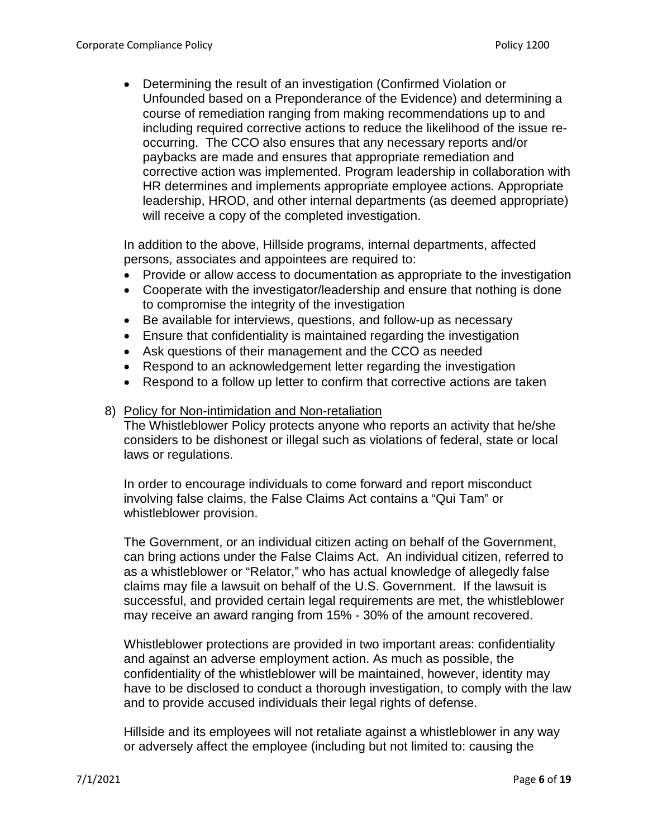• Determining the result of an investigation (Confirmed Violation or Unfounded based on a Preponderance of the Evidence) and determining a course of remediation ranging from making recommendations up to and including required corrective actions to reduce the likelihood of the issue reoccurring. The CCO also ensures that any necessary reports and/or paybacks are made and ensures that appropriate remediation and corrective action was implemented. Program leadership in collaboration with HR determines and implements appropriate employee actions. Appropriate leadership, HROD, and other internal departments (as deemed appropriate) will receive a copy of the completed investigation.

In addition to the above, Hillside programs, internal departments, affected persons, associates and appointees are required to:

- Provide or allow access to documentation as appropriate to the investigation
- Cooperate with the investigator/leadership and ensure that nothing is done to compromise the integrity of the investigation
- Be available for interviews, questions, and follow-up as necessary
- Ensure that confidentiality is maintained regarding the investigation
- Ask questions of their management and the CCO as needed
- Respond to an acknowledgement letter regarding the investigation
- Respond to a follow up letter to confirm that corrective actions are taken
- 8) Policy for Non-intimidation and Non-retaliation

The Whistleblower Policy protects anyone who reports an activity that he/she considers to be dishonest or illegal such as violations of federal, state or local laws or regulations.

In order to encourage individuals to come forward and report misconduct involving false claims, the False Claims Act contains a "Qui Tam" or whistleblower provision.

The Government, or an individual citizen acting on behalf of the Government, can bring actions under the False Claims Act. An individual citizen, referred to as a whistleblower or "Relator," who has actual knowledge of allegedly false claims may file a lawsuit on behalf of the U.S. Government. If the lawsuit is successful, and provided certain legal requirements are met, the whistleblower may receive an award ranging from 15% - 30% of the amount recovered.

Whistleblower protections are provided in two important areas: confidentiality and against an adverse employment action. As much as possible, the confidentiality of the whistleblower will be maintained, however, identity may have to be disclosed to conduct a thorough investigation, to comply with the law and to provide accused individuals their legal rights of defense.

Hillside and its employees will not retaliate against a whistleblower in any way or adversely affect the employee (including but not limited to: causing the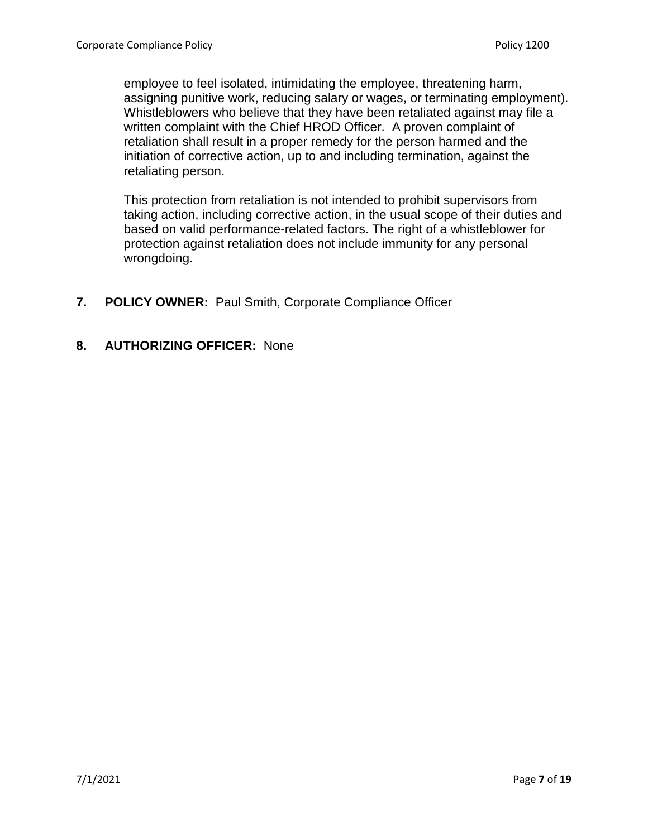employee to feel isolated, intimidating the employee, threatening harm, assigning punitive work, reducing salary or wages, or terminating employment). Whistleblowers who believe that they have been retaliated against may file a written complaint with the Chief HROD Officer. A proven complaint of retaliation shall result in a proper remedy for the person harmed and the initiation of corrective action, up to and including termination, against the retaliating person.

This protection from retaliation is not intended to prohibit supervisors from taking action, including corrective action, in the usual scope of their duties and based on valid performance-related factors. The right of a whistleblower for protection against retaliation does not include immunity for any personal wrongdoing.

- **7. POLICY OWNER:** Paul Smith, Corporate Compliance Officer
- **8. AUTHORIZING OFFICER:** None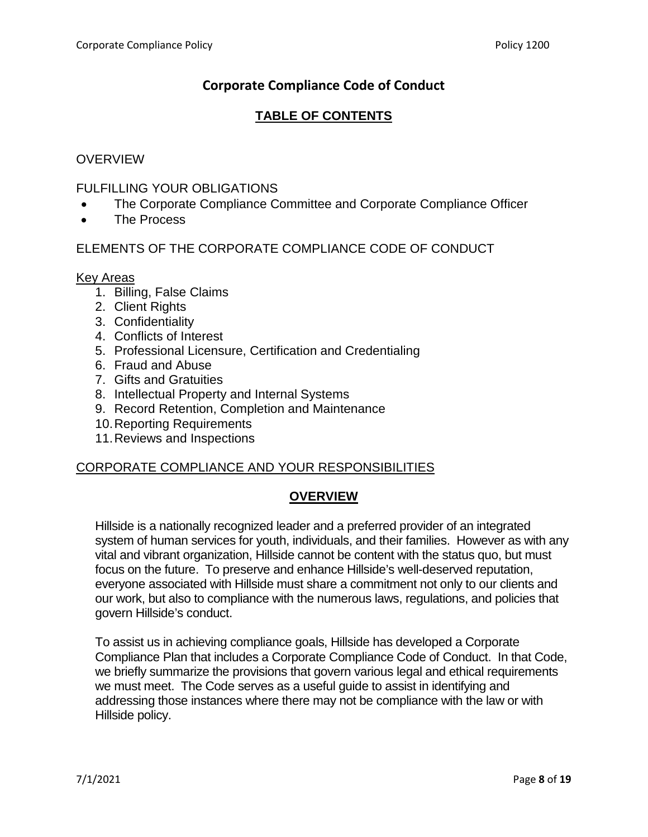# **Corporate Compliance Code of Conduct**

## **TABLE OF CONTENTS**

## **OVERVIEW**

#### FULFILLING YOUR OBLIGATIONS

- The Corporate Compliance Committee and Corporate Compliance Officer
- The Process

## ELEMENTS OF THE CORPORATE COMPLIANCE CODE OF CONDUCT

#### Key Areas

- 1. Billing, False Claims
- 2. Client Rights
- 3. Confidentiality
- 4. Conflicts of Interest
- 5. Professional Licensure, Certification and Credentialing
- 6. Fraud and Abuse
- 7. Gifts and Gratuities
- 8. Intellectual Property and Internal Systems
- 9. Record Retention, Completion and Maintenance
- 10.Reporting Requirements
- 11.Reviews and Inspections

#### CORPORATE COMPLIANCE AND YOUR RESPONSIBILITIES

### **OVERVIEW**

Hillside is a nationally recognized leader and a preferred provider of an integrated system of human services for youth, individuals, and their families. However as with any vital and vibrant organization, Hillside cannot be content with the status quo, but must focus on the future. To preserve and enhance Hillside's well-deserved reputation, everyone associated with Hillside must share a commitment not only to our clients and our work, but also to compliance with the numerous laws, regulations, and policies that govern Hillside's conduct.

To assist us in achieving compliance goals, Hillside has developed a Corporate Compliance Plan that includes a Corporate Compliance Code of Conduct. In that Code, we briefly summarize the provisions that govern various legal and ethical requirements we must meet. The Code serves as a useful guide to assist in identifying and addressing those instances where there may not be compliance with the law or with Hillside policy.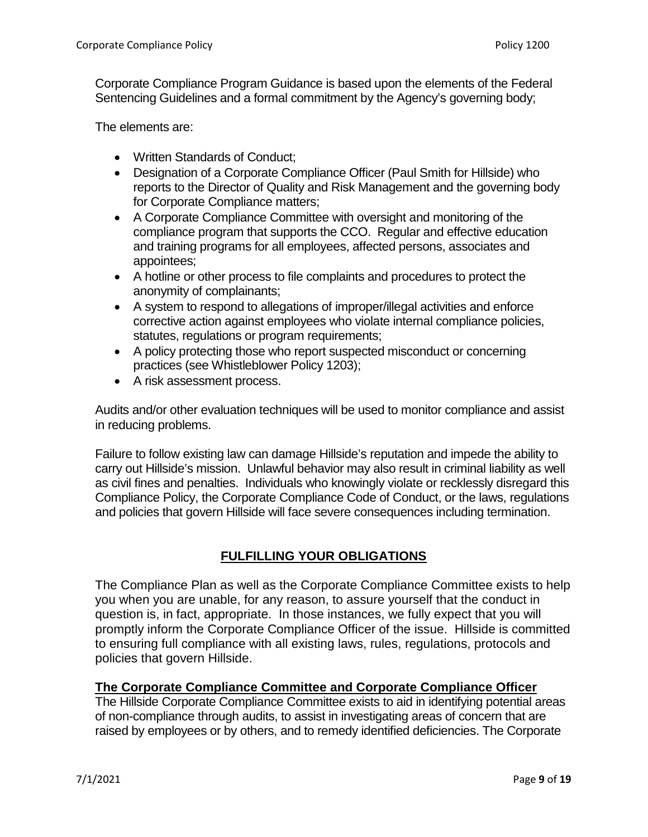Corporate Compliance Program Guidance is based upon the elements of the Federal Sentencing Guidelines and a formal commitment by the Agency's governing body;

The elements are:

- Written Standards of Conduct;
- Designation of a Corporate Compliance Officer (Paul Smith for Hillside) who reports to the Director of Quality and Risk Management and the governing body for Corporate Compliance matters;
- A Corporate Compliance Committee with oversight and monitoring of the compliance program that supports the CCO. Regular and effective education and training programs for all employees, affected persons, associates and appointees;
- A hotline or other process to file complaints and procedures to protect the anonymity of complainants;
- A system to respond to allegations of improper/illegal activities and enforce corrective action against employees who violate internal compliance policies, statutes, regulations or program requirements;
- A policy protecting those who report suspected misconduct or concerning practices (see Whistleblower Policy 1203);
- A risk assessment process.

Audits and/or other evaluation techniques will be used to monitor compliance and assist in reducing problems.

Failure to follow existing law can damage Hillside's reputation and impede the ability to carry out Hillside's mission. Unlawful behavior may also result in criminal liability as well as civil fines and penalties. Individuals who knowingly violate or recklessly disregard this Compliance Policy, the Corporate Compliance Code of Conduct, or the laws, regulations and policies that govern Hillside will face severe consequences including termination.

## **FULFILLING YOUR OBLIGATIONS**

The Compliance Plan as well as the Corporate Compliance Committee exists to help you when you are unable, for any reason, to assure yourself that the conduct in question is, in fact, appropriate. In those instances, we fully expect that you will promptly inform the Corporate Compliance Officer of the issue. Hillside is committed to ensuring full compliance with all existing laws, rules, regulations, protocols and policies that govern Hillside.

### **The Corporate Compliance Committee and Corporate Compliance Officer**

The Hillside Corporate Compliance Committee exists to aid in identifying potential areas of non-compliance through audits, to assist in investigating areas of concern that are raised by employees or by others, and to remedy identified deficiencies. The Corporate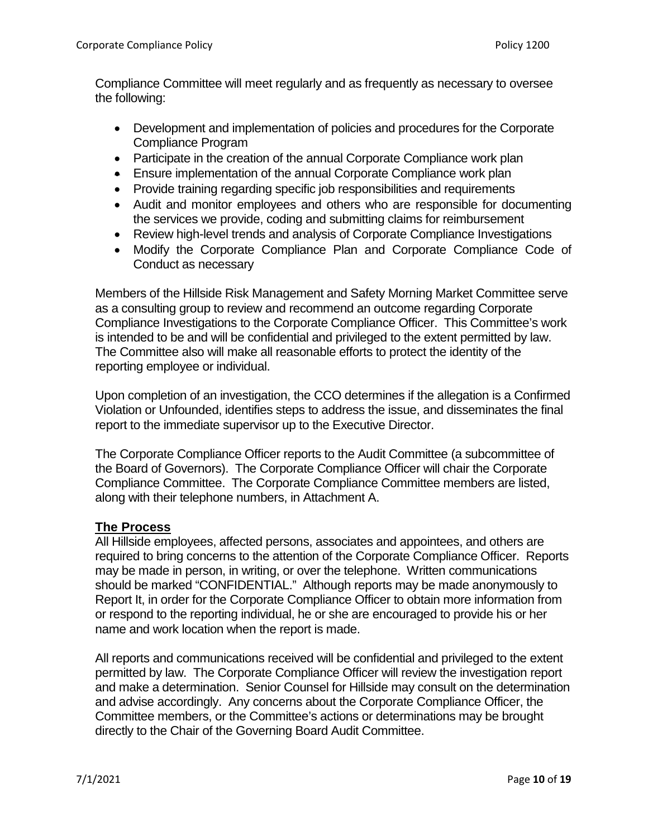Compliance Committee will meet regularly and as frequently as necessary to oversee the following:

- Development and implementation of policies and procedures for the Corporate Compliance Program
- Participate in the creation of the annual Corporate Compliance work plan
- Ensure implementation of the annual Corporate Compliance work plan
- Provide training regarding specific job responsibilities and requirements
- Audit and monitor employees and others who are responsible for documenting the services we provide, coding and submitting claims for reimbursement
- Review high-level trends and analysis of Corporate Compliance Investigations
- Modify the Corporate Compliance Plan and Corporate Compliance Code of Conduct as necessary

Members of the Hillside Risk Management and Safety Morning Market Committee serve as a consulting group to review and recommend an outcome regarding Corporate Compliance Investigations to the Corporate Compliance Officer. This Committee's work is intended to be and will be confidential and privileged to the extent permitted by law. The Committee also will make all reasonable efforts to protect the identity of the reporting employee or individual.

Upon completion of an investigation, the CCO determines if the allegation is a Confirmed Violation or Unfounded, identifies steps to address the issue, and disseminates the final report to the immediate supervisor up to the Executive Director.

The Corporate Compliance Officer reports to the Audit Committee (a subcommittee of the Board of Governors). The Corporate Compliance Officer will chair the Corporate Compliance Committee. The Corporate Compliance Committee members are listed, along with their telephone numbers, in Attachment A.

### **The Process**

All Hillside employees, affected persons, associates and appointees, and others are required to bring concerns to the attention of the Corporate Compliance Officer. Reports may be made in person, in writing, or over the telephone. Written communications should be marked "CONFIDENTIAL." Although reports may be made anonymously to Report It, in order for the Corporate Compliance Officer to obtain more information from or respond to the reporting individual, he or she are encouraged to provide his or her name and work location when the report is made.

All reports and communications received will be confidential and privileged to the extent permitted by law. The Corporate Compliance Officer will review the investigation report and make a determination. Senior Counsel for Hillside may consult on the determination and advise accordingly. Any concerns about the Corporate Compliance Officer, the Committee members, or the Committee's actions or determinations may be brought directly to the Chair of the Governing Board Audit Committee.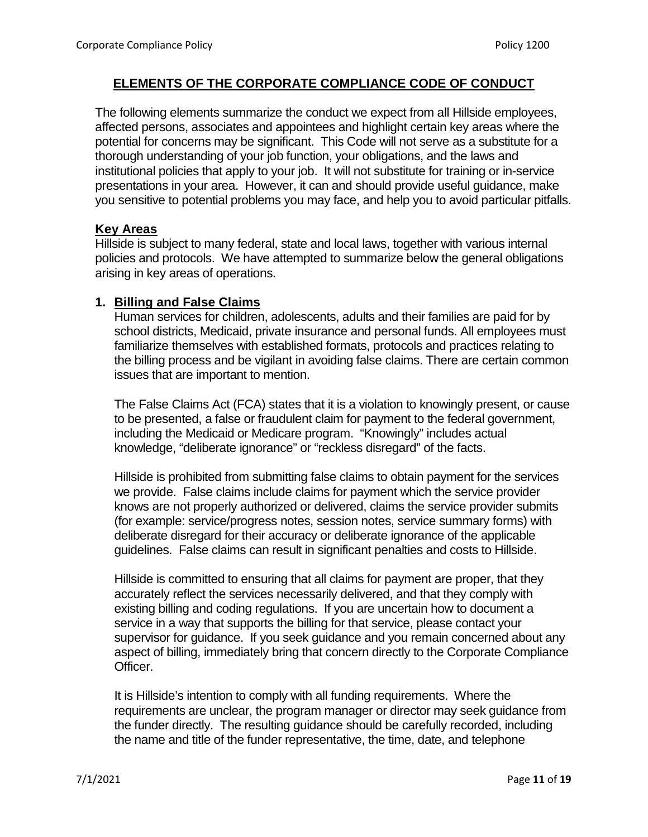## **ELEMENTS OF THE CORPORATE COMPLIANCE CODE OF CONDUCT**

The following elements summarize the conduct we expect from all Hillside employees, affected persons, associates and appointees and highlight certain key areas where the potential for concerns may be significant. This Code will not serve as a substitute for a thorough understanding of your job function, your obligations, and the laws and institutional policies that apply to your job. It will not substitute for training or in-service presentations in your area. However, it can and should provide useful guidance, make you sensitive to potential problems you may face, and help you to avoid particular pitfalls.

#### **Key Areas**

Hillside is subject to many federal, state and local laws, together with various internal policies and protocols. We have attempted to summarize below the general obligations arising in key areas of operations.

#### **1. Billing and False Claims**

Human services for children, adolescents, adults and their families are paid for by school districts, Medicaid, private insurance and personal funds. All employees must familiarize themselves with established formats, protocols and practices relating to the billing process and be vigilant in avoiding false claims. There are certain common issues that are important to mention.

The False Claims Act (FCA) states that it is a violation to knowingly present, or cause to be presented, a false or fraudulent claim for payment to the federal government, including the Medicaid or Medicare program. "Knowingly" includes actual knowledge, "deliberate ignorance" or "reckless disregard" of the facts.

Hillside is prohibited from submitting false claims to obtain payment for the services we provide. False claims include claims for payment which the service provider knows are not properly authorized or delivered, claims the service provider submits (for example: service/progress notes, session notes, service summary forms) with deliberate disregard for their accuracy or deliberate ignorance of the applicable guidelines. False claims can result in significant penalties and costs to Hillside.

Hillside is committed to ensuring that all claims for payment are proper, that they accurately reflect the services necessarily delivered, and that they comply with existing billing and coding regulations. If you are uncertain how to document a service in a way that supports the billing for that service, please contact your supervisor for guidance. If you seek guidance and you remain concerned about any aspect of billing, immediately bring that concern directly to the Corporate Compliance Officer.

It is Hillside's intention to comply with all funding requirements. Where the requirements are unclear, the program manager or director may seek guidance from the funder directly. The resulting guidance should be carefully recorded, including the name and title of the funder representative, the time, date, and telephone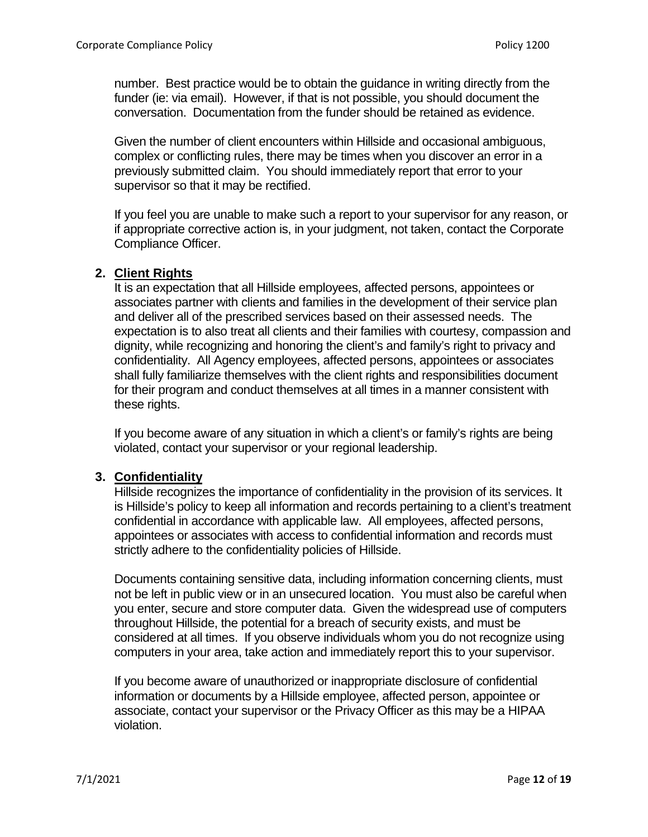number. Best practice would be to obtain the guidance in writing directly from the funder (ie: via email). However, if that is not possible, you should document the conversation. Documentation from the funder should be retained as evidence.

Given the number of client encounters within Hillside and occasional ambiguous, complex or conflicting rules, there may be times when you discover an error in a previously submitted claim. You should immediately report that error to your supervisor so that it may be rectified.

If you feel you are unable to make such a report to your supervisor for any reason, or if appropriate corrective action is, in your judgment, not taken, contact the Corporate Compliance Officer.

## **2. Client Rights**

It is an expectation that all Hillside employees, affected persons, appointees or associates partner with clients and families in the development of their service plan and deliver all of the prescribed services based on their assessed needs. The expectation is to also treat all clients and their families with courtesy, compassion and dignity, while recognizing and honoring the client's and family's right to privacy and confidentiality. All Agency employees, affected persons, appointees or associates shall fully familiarize themselves with the client rights and responsibilities document for their program and conduct themselves at all times in a manner consistent with these rights.

If you become aware of any situation in which a client's or family's rights are being violated, contact your supervisor or your regional leadership.

### **3. Confidentiality**

Hillside recognizes the importance of confidentiality in the provision of its services. It is Hillside's policy to keep all information and records pertaining to a client's treatment confidential in accordance with applicable law. All employees, affected persons, appointees or associates with access to confidential information and records must strictly adhere to the confidentiality policies of Hillside.

Documents containing sensitive data, including information concerning clients, must not be left in public view or in an unsecured location. You must also be careful when you enter, secure and store computer data. Given the widespread use of computers throughout Hillside, the potential for a breach of security exists, and must be considered at all times. If you observe individuals whom you do not recognize using computers in your area, take action and immediately report this to your supervisor.

If you become aware of unauthorized or inappropriate disclosure of confidential information or documents by a Hillside employee, affected person, appointee or associate, contact your supervisor or the Privacy Officer as this may be a HIPAA violation.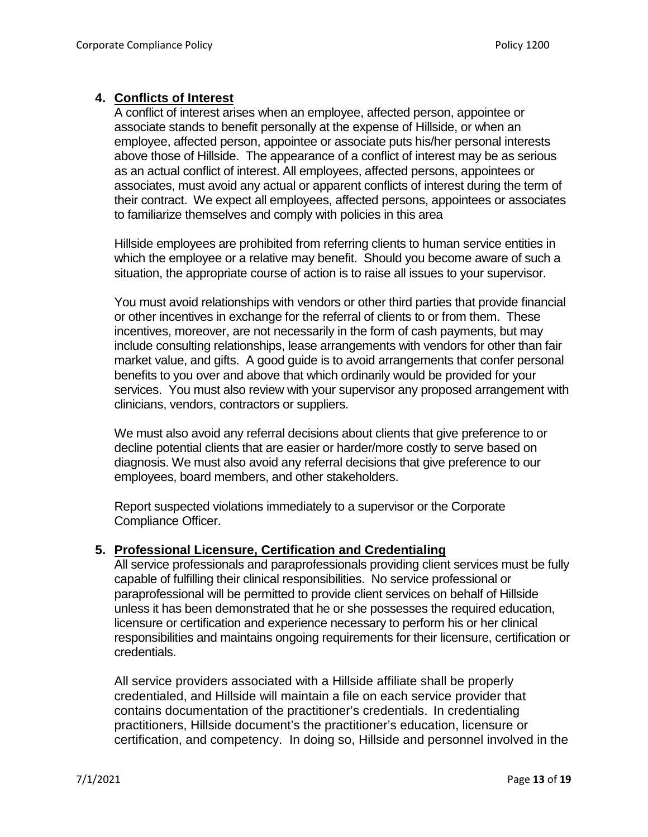### **4. Conflicts of Interest**

A conflict of interest arises when an employee, affected person, appointee or associate stands to benefit personally at the expense of Hillside, or when an employee, affected person, appointee or associate puts his/her personal interests above those of Hillside. The appearance of a conflict of interest may be as serious as an actual conflict of interest. All employees, affected persons, appointees or associates, must avoid any actual or apparent conflicts of interest during the term of their contract. We expect all employees, affected persons, appointees or associates to familiarize themselves and comply with policies in this area

Hillside employees are prohibited from referring clients to human service entities in which the employee or a relative may benefit. Should you become aware of such a situation, the appropriate course of action is to raise all issues to your supervisor.

You must avoid relationships with vendors or other third parties that provide financial or other incentives in exchange for the referral of clients to or from them. These incentives, moreover, are not necessarily in the form of cash payments, but may include consulting relationships, lease arrangements with vendors for other than fair market value, and gifts. A good guide is to avoid arrangements that confer personal benefits to you over and above that which ordinarily would be provided for your services. You must also review with your supervisor any proposed arrangement with clinicians, vendors, contractors or suppliers.

We must also avoid any referral decisions about clients that give preference to or decline potential clients that are easier or harder/more costly to serve based on diagnosis. We must also avoid any referral decisions that give preference to our employees, board members, and other stakeholders.

Report suspected violations immediately to a supervisor or the Corporate Compliance Officer.

#### **5. Professional Licensure, Certification and Credentialing**

All service professionals and paraprofessionals providing client services must be fully capable of fulfilling their clinical responsibilities. No service professional or paraprofessional will be permitted to provide client services on behalf of Hillside unless it has been demonstrated that he or she possesses the required education, licensure or certification and experience necessary to perform his or her clinical responsibilities and maintains ongoing requirements for their licensure, certification or credentials.

All service providers associated with a Hillside affiliate shall be properly credentialed, and Hillside will maintain a file on each service provider that contains documentation of the practitioner's credentials. In credentialing practitioners, Hillside document's the practitioner's education, licensure or certification, and competency. In doing so, Hillside and personnel involved in the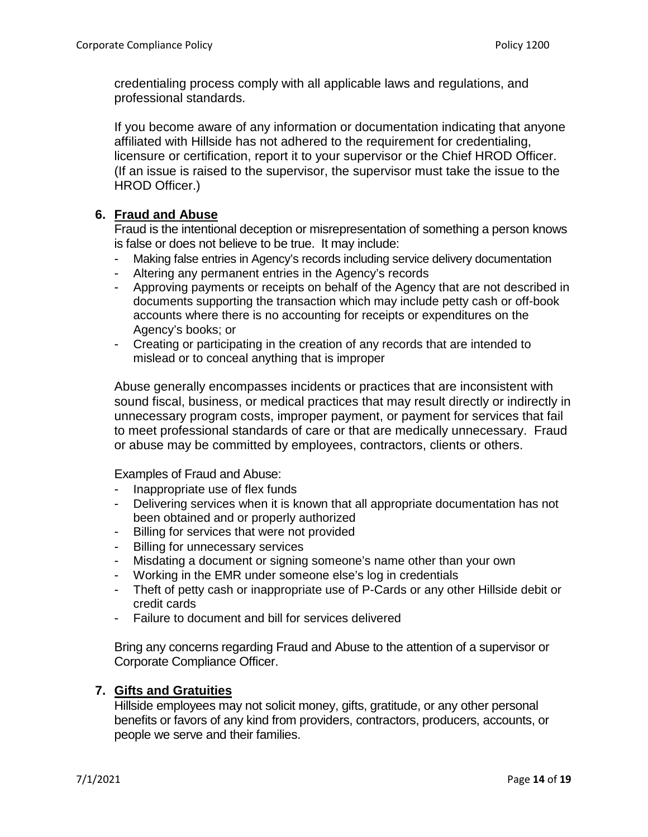credentialing process comply with all applicable laws and regulations, and professional standards.

If you become aware of any information or documentation indicating that anyone affiliated with Hillside has not adhered to the requirement for credentialing, licensure or certification, report it to your supervisor or the Chief HROD Officer. (If an issue is raised to the supervisor, the supervisor must take the issue to the HROD Officer.)

## **6. Fraud and Abuse**

Fraud is the intentional deception or misrepresentation of something a person knows is false or does not believe to be true. It may include:

- Making false entries in Agency's records including service delivery documentation
- Altering any permanent entries in the Agency's records
- Approving payments or receipts on behalf of the Agency that are not described in documents supporting the transaction which may include petty cash or off-book accounts where there is no accounting for receipts or expenditures on the Agency's books; or
- Creating or participating in the creation of any records that are intended to mislead or to conceal anything that is improper

Abuse generally encompasses incidents or practices that are inconsistent with sound fiscal, business, or medical practices that may result directly or indirectly in unnecessary program costs, improper payment, or payment for services that fail to meet professional standards of care or that are medically unnecessary. Fraud or abuse may be committed by employees, contractors, clients or others.

Examples of Fraud and Abuse:

- Inappropriate use of flex funds
- Delivering services when it is known that all appropriate documentation has not been obtained and or properly authorized
- Billing for services that were not provided
- Billing for unnecessary services
- Misdating a document or signing someone's name other than your own
- Working in the EMR under someone else's log in credentials
- Theft of petty cash or inappropriate use of P-Cards or any other Hillside debit or credit cards
- Failure to document and bill for services delivered

Bring any concerns regarding Fraud and Abuse to the attention of a supervisor or Corporate Compliance Officer.

### **7. Gifts and Gratuities**

Hillside employees may not solicit money, gifts, gratitude, or any other personal benefits or favors of any kind from providers, contractors, producers, accounts, or people we serve and their families.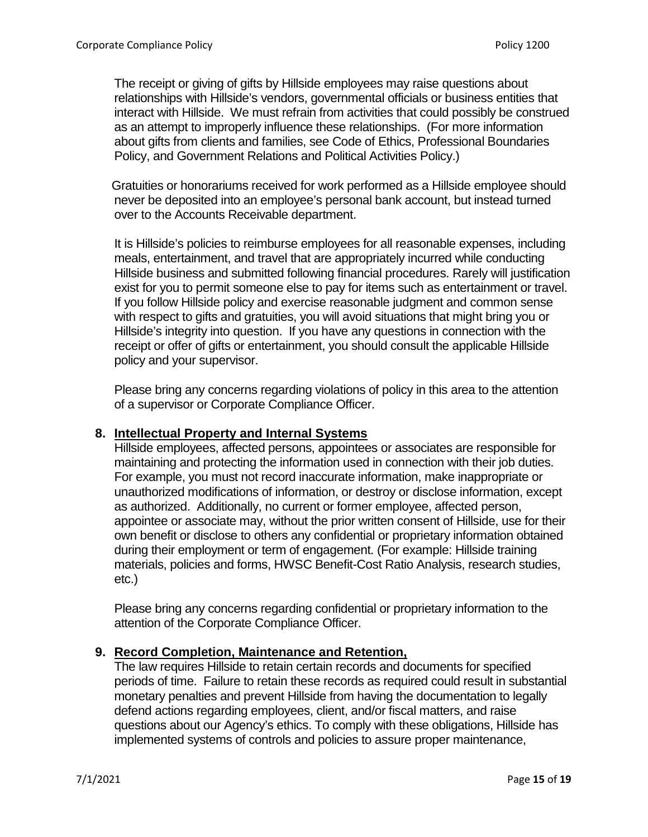The receipt or giving of gifts by Hillside employees may raise questions about relationships with Hillside's vendors, governmental officials or business entities that interact with Hillside. We must refrain from activities that could possibly be construed as an attempt to improperly influence these relationships. (For more information about gifts from clients and families, see Code of Ethics, Professional Boundaries Policy, and Government Relations and Political Activities Policy.)

 Gratuities or honorariums received for work performed as a Hillside employee should never be deposited into an employee's personal bank account, but instead turned over to the Accounts Receivable department.

It is Hillside's policies to reimburse employees for all reasonable expenses, including meals, entertainment, and travel that are appropriately incurred while conducting Hillside business and submitted following financial procedures. Rarely will justification exist for you to permit someone else to pay for items such as entertainment or travel. If you follow Hillside policy and exercise reasonable judgment and common sense with respect to gifts and gratuities, you will avoid situations that might bring you or Hillside's integrity into question. If you have any questions in connection with the receipt or offer of gifts or entertainment, you should consult the applicable Hillside policy and your supervisor.

Please bring any concerns regarding violations of policy in this area to the attention of a supervisor or Corporate Compliance Officer.

### **8. Intellectual Property and Internal Systems**

Hillside employees, affected persons, appointees or associates are responsible for maintaining and protecting the information used in connection with their job duties. For example, you must not record inaccurate information, make inappropriate or unauthorized modifications of information, or destroy or disclose information, except as authorized. Additionally, no current or former employee, affected person, appointee or associate may, without the prior written consent of Hillside, use for their own benefit or disclose to others any confidential or proprietary information obtained during their employment or term of engagement. (For example: Hillside training materials, policies and forms, HWSC Benefit-Cost Ratio Analysis, research studies, etc.)

Please bring any concerns regarding confidential or proprietary information to the attention of the Corporate Compliance Officer.

### **9. Record Completion, Maintenance and Retention,**

The law requires Hillside to retain certain records and documents for specified periods of time. Failure to retain these records as required could result in substantial monetary penalties and prevent Hillside from having the documentation to legally defend actions regarding employees, client, and/or fiscal matters, and raise questions about our Agency's ethics. To comply with these obligations, Hillside has implemented systems of controls and policies to assure proper maintenance,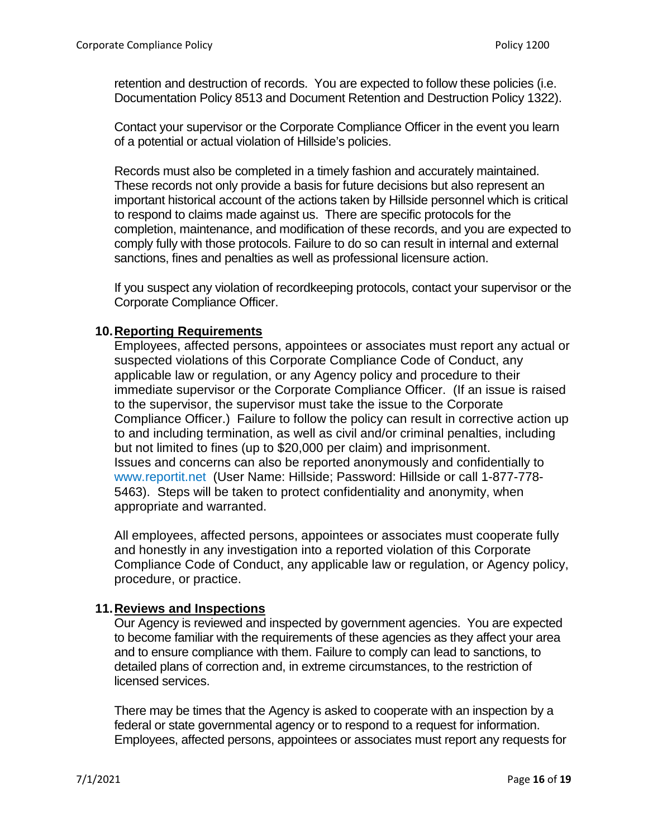retention and destruction of records. You are expected to follow these policies (i.e. Documentation Policy 8513 and Document Retention and Destruction Policy 1322).

Contact your supervisor or the Corporate Compliance Officer in the event you learn of a potential or actual violation of Hillside's policies.

Records must also be completed in a timely fashion and accurately maintained. These records not only provide a basis for future decisions but also represent an important historical account of the actions taken by Hillside personnel which is critical to respond to claims made against us. There are specific protocols for the completion, maintenance, and modification of these records, and you are expected to comply fully with those protocols. Failure to do so can result in internal and external sanctions, fines and penalties as well as professional licensure action.

If you suspect any violation of recordkeeping protocols, contact your supervisor or the Corporate Compliance Officer.

#### **10.Reporting Requirements**

Employees, affected persons, appointees or associates must report any actual or suspected violations of this Corporate Compliance Code of Conduct, any applicable law or regulation, or any Agency policy and procedure to their immediate supervisor or the Corporate Compliance Officer. (If an issue is raised to the supervisor, the supervisor must take the issue to the Corporate Compliance Officer.) Failure to follow the policy can result in corrective action up to and including termination, as well as civil and/or criminal penalties, including but not limited to fines (up to \$20,000 per claim) and imprisonment. Issues and concerns can also be reported anonymously and confidentially to [www.reportit.net](http://www.reportit.net/) (User Name: Hillside; Password: Hillside or call 1-877-778- 5463). Steps will be taken to protect confidentiality and anonymity, when appropriate and warranted.

All employees, affected persons, appointees or associates must cooperate fully and honestly in any investigation into a reported violation of this Corporate Compliance Code of Conduct, any applicable law or regulation, or Agency policy, procedure, or practice.

### **11.Reviews and Inspections**

Our Agency is reviewed and inspected by government agencies. You are expected to become familiar with the requirements of these agencies as they affect your area and to ensure compliance with them. Failure to comply can lead to sanctions, to detailed plans of correction and, in extreme circumstances, to the restriction of licensed services.

There may be times that the Agency is asked to cooperate with an inspection by a federal or state governmental agency or to respond to a request for information. Employees, affected persons, appointees or associates must report any requests for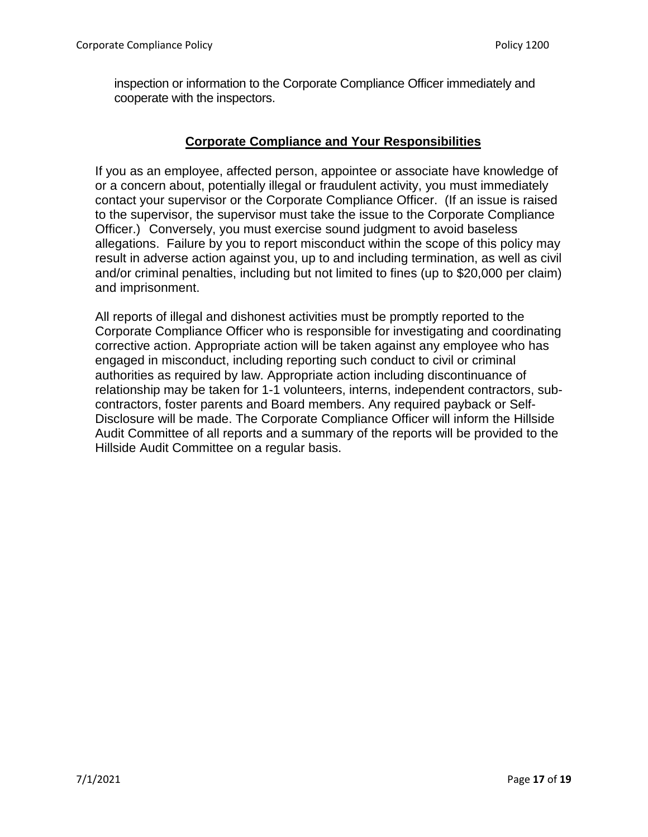inspection or information to the Corporate Compliance Officer immediately and cooperate with the inspectors.

## **Corporate Compliance and Your Responsibilities**

If you as an employee, affected person, appointee or associate have knowledge of or a concern about, potentially illegal or fraudulent activity, you must immediately contact your supervisor or the Corporate Compliance Officer. (If an issue is raised to the supervisor, the supervisor must take the issue to the Corporate Compliance Officer.) Conversely, you must exercise sound judgment to avoid baseless allegations. Failure by you to report misconduct within the scope of this policy may result in adverse action against you, up to and including termination, as well as civil and/or criminal penalties, including but not limited to fines (up to \$20,000 per claim) and imprisonment.

All reports of illegal and dishonest activities must be promptly reported to the Corporate Compliance Officer who is responsible for investigating and coordinating corrective action. Appropriate action will be taken against any employee who has engaged in misconduct, including reporting such conduct to civil or criminal authorities as required by law. Appropriate action including discontinuance of relationship may be taken for 1-1 volunteers, interns, independent contractors, subcontractors, foster parents and Board members. Any required payback or Self-Disclosure will be made. The Corporate Compliance Officer will inform the Hillside Audit Committee of all reports and a summary of the reports will be provided to the Hillside Audit Committee on a regular basis.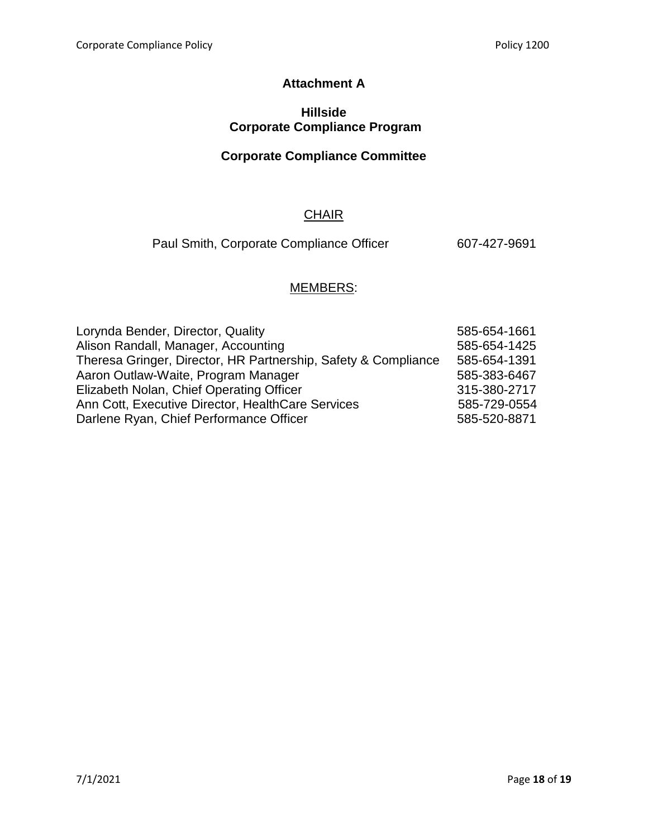## **Attachment A**

#### **Hillside Corporate Compliance Program**

## **Corporate Compliance Committee**

## **CHAIR**

Paul Smith, Corporate Compliance Officer 607-427-9691

# MEMBERS:

| Lorynda Bender, Director, Quality                              | 585-654-1661 |
|----------------------------------------------------------------|--------------|
| Alison Randall, Manager, Accounting                            | 585-654-1425 |
| Theresa Gringer, Director, HR Partnership, Safety & Compliance | 585-654-1391 |
| Aaron Outlaw-Waite, Program Manager                            | 585-383-6467 |
| Elizabeth Nolan, Chief Operating Officer                       | 315-380-2717 |
| Ann Cott, Executive Director, HealthCare Services              | 585-729-0554 |
| Darlene Ryan, Chief Performance Officer                        | 585-520-8871 |